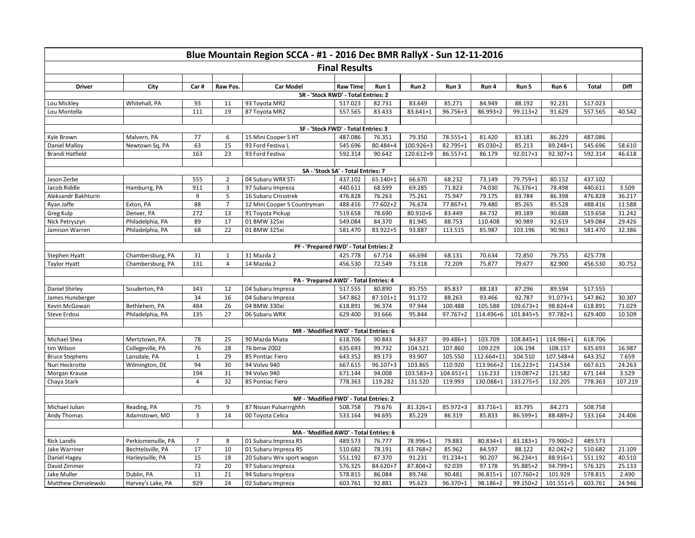| Blue Mountain Region SCCA - #1 - 2016 Dec BMR RallyX - Sun 12-11-2016 |                    |                |                                |                                                                  |                 |              |               |              |            |              |              |              |         |
|-----------------------------------------------------------------------|--------------------|----------------|--------------------------------|------------------------------------------------------------------|-----------------|--------------|---------------|--------------|------------|--------------|--------------|--------------|---------|
| <b>Final Results</b>                                                  |                    |                |                                |                                                                  |                 |              |               |              |            |              |              |              |         |
|                                                                       |                    |                |                                |                                                                  |                 |              |               |              |            |              |              |              |         |
| <b>Driver</b>                                                         | City               | Car#           | Raw Pos.                       | <b>Car Model</b>                                                 | <b>Raw Time</b> | Run 1        | Run 2         | Run 3        | Run 4      | Run 5        | Run 6        | <b>Total</b> | Diff    |
| SR - 'Stock RWD' - Total Entries: 2                                   |                    |                |                                |                                                                  |                 |              |               |              |            |              |              |              |         |
| Lou Mickley                                                           | Whitehall, PA      | 93             | 11                             | 93 Toyota MR2                                                    | 517.023         | 82.731       | 83.649        | 85.271       | 84.949     | 88.192       | 92.231       | 517.023      |         |
| Lou Montella                                                          |                    | 111            | 19                             | 87 Toyota MR2                                                    | 557.565         | 83.433       | 83.641+1      | 96.756+3     | 86.993+2   | $99.113 + 2$ | 91.629       | 557.565      | 40.542  |
| SF - 'Stock FWD' - Total Entries: 3                                   |                    |                |                                |                                                                  |                 |              |               |              |            |              |              |              |         |
| Kyle Brown                                                            | Malvern, PA        | 77             | 6                              | 15 Mini Cooper S HT                                              | 487.086         | 76.351       | 79.350        | 78.555+1     | 81.420     | 83.181       | 86.229       | 487.086      |         |
| Daniel Malloy                                                         | Newtown Sq, PA     | 63             | 15                             | 93 Ford Festiva L                                                | 545.696         | 80.484+4     | $100.926 + 3$ | 82.795+1     | 85.030+2   | 85.213       | 89.248+1     | 545.696      | 58.610  |
| <b>Brandi Hatfield</b>                                                |                    | 163            | 23                             | 93 Ford Festiva                                                  | 592.314         | 90.642       | 120.612+9     | 86.557+1     | 86.179     | 92.017+1     | 92.307+1     | 592.314      | 46.618  |
|                                                                       |                    |                |                                |                                                                  |                 |              |               |              |            |              |              |              |         |
| SA - 'Stock SA' - Total Entries: 7                                    |                    |                |                                |                                                                  |                 |              |               |              |            |              |              |              |         |
| Jason Zerbe                                                           |                    | 555            | 2                              | 04 Subaru WRX STi                                                | 437.102         | 65.140+1     | 66.670        | 68.232       | 73.149     | 79.759+1     | 80.152       | 437.102      |         |
| Jacob Riddle                                                          | Hamburrg, PA       | 911            | $\overline{3}$                 | 97 Subaru Impreza                                                | 440.611         | 68.599       | 69.285        | 71.823       | 74.030     | 76.376+1     | 78.498       | 440.611      | 3.509   |
| Aleksandr Bakhturin                                                   |                    | 9              | 5                              | 16 Subaru Crosstrek                                              | 476.828         | 76.263       | 75.261        | 75.947       | 79.175     | 83.784       | 86.398       | 476.828      | 36.217  |
| Ryan Jaffe                                                            | Exton, PA          | 88             | $\overline{7}$                 | 12 Mini Cooper S Countryman                                      | 488.416         | 77.602+2     | 76.674        | 77.867+1     | 79.480     | 85.265       | 85.528       | 488.416      | 11.588  |
| Greg Kulp                                                             | Denver, PA         | 272            | 13                             | 91 Toyota Pickup                                                 | 519.658         | 78.690       | 80.910+6      | 83.449       | 84.732     | 89.189       | 90.688       | 519.658      | 31.242  |
| Nick Petryszyn                                                        | Philadelphia, PA   | 89             | 17                             | 01 BMW 325xi                                                     | 549.084         | 84.370       | 81.945        | 88.753       | 110.408    | 90.989       | 92.619       | 549.084      | 29.426  |
| Jamison Warren                                                        | Philadelphia, PA   | 68             | 22                             | 01 BMW 325xi                                                     | 581.470         | 83.922+5     | 93.887        | 113.515      | 85.987     | 103.196      | 90.963       | 581.470      | 32.386  |
|                                                                       |                    |                |                                |                                                                  |                 |              |               |              |            |              |              |              |         |
|                                                                       |                    |                |                                | PF - 'Prepared FWD' - Total Entries: 2                           |                 |              |               |              |            |              |              |              |         |
| Stephen Hyatt                                                         | Chambersburg, PA   | 31             | $\mathbf{1}$<br>$\overline{4}$ | 31 Mazda 2                                                       | 425.778         | 67.714       | 66.694        | 68.131       | 70.634     | 72.850       | 79.755       | 425.778      |         |
| <b>Taylor Hyatt</b>                                                   | Chambersburg, PA   | 131            |                                | 14 Mazda 2                                                       | 456.530         | 72.549       | 73.318        | 72.209       | 75.877     | 79.677       | 82.900       | 456.530      | 30.752  |
|                                                                       |                    |                |                                | PA - 'Prepared AWD' - Total Entries: 4                           |                 |              |               |              |            |              |              |              |         |
| Daniel Shirley                                                        | Souderton, PA      | 343            | 12                             | 04 Subaru Impreza                                                | 517.555         | 80.890       | 85.755        | 85.837       | 88.183     | 87.296       | 89.594       | 517.555      |         |
| James Hunsberger                                                      |                    | 34             | 16                             | 04 Subaru Impreza                                                | 547.862         | 87.101+1     | 91.172        | 88.263       | 93.466     | 92.787       | $91.073 + 1$ | 547.862      | 30.307  |
| Kevin McGowan                                                         | Bethlehem, PA      | 484            | 26                             | 04 BMW 330xi                                                     | 618.891         | 96.374       | 97.944        | 100.488      | 105.588    | 109.673+1    | 98.824+4     | 618.891      | 71.029  |
| <b>Steve Erdosi</b>                                                   | Philadelphia, PA   | 135            | 27                             | 06 Subaru WRX                                                    | 629.400         | 93.666       | 95.844        | $97.767 + 2$ | 114.496+6  | 101.845+5    | 97.782+1     | 629.400      | 10.509  |
|                                                                       |                    |                |                                |                                                                  |                 |              |               |              |            |              |              |              |         |
|                                                                       |                    |                |                                | MR - 'Modified RWD' - Total Entries: 6                           |                 |              |               |              |            |              |              |              |         |
| Michael Shea                                                          | Mertztown, PA      | 78             | 25                             | 90 Mazda Miata                                                   | 618.706         | 90.843       | 94.837        | 99.486+1     | 103.709    | 108.845+1    | 114.986+1    | 618.706      |         |
| tim Wilson                                                            | Collegeville, PA   | 76             | 28                             | 76 bmw 2002                                                      | 635.693         | 99.732       | 104.521       | 107.860      | 109.229    | 106.194      | 108.157      | 635.693      | 16.987  |
| <b>Bruce Stephens</b>                                                 | Lansdale, PA       | $\mathbf 1$    | 29                             | 85 Pontiac Fiero                                                 | 643.352         | 89.173       | 93.907        | 105.550      | 112.664+11 | 104.510      | 107.548+4    | 643.352      | 7.659   |
| Nuri Heckrotte                                                        | Wilmington, DE     | 94             | 30                             | 94 Volvo 940                                                     | 667.615         | $96.107 + 3$ | 103.865       | 110.920      | 113.966+2  | 116.223+1    | 114.534      | 667.615      | 24.263  |
| Morgan Krause                                                         |                    | 194            | 31                             | 94 Volvo 940                                                     | 671.144         | 94.008       | 103.583+3     | 104.651+1    | 116.233    | 119.087+2    | 121.582      | 671.144      | 3.529   |
| Chaya Stark                                                           |                    | $\overline{4}$ | 32                             | 85 Pontiac Fiero                                                 | 778.363         | 119.282      | 131.520       | 119.993      | 130.088+1  | 133.275+5    | 132.205      | 778.363      | 107.219 |
|                                                                       |                    |                |                                |                                                                  |                 |              |               |              |            |              |              |              |         |
| Michael Julian                                                        | Reading, PA        | 75             | 9                              | MF - 'Modified FWD' - Total Entries: 2<br>87 Nissan Pulsarrrghhh | 508.758         | 79.676       | 81.326+1      | 85.972+3     | 83.716+1   | 83.795       | 84.273       | 508.758      |         |
| Andy Thomas                                                           | Adamstown, MD      | 3              | 14                             | 00 Toyota Celica                                                 | 533.164         | 94.695       | 85.229        | 86.319       | 85.833     | 86.599+1     | 88.489+2     | 533.164      | 24.406  |
|                                                                       |                    |                |                                |                                                                  |                 |              |               |              |            |              |              |              |         |
| MA - 'Modified AWD' - Total Entries: 6                                |                    |                |                                |                                                                  |                 |              |               |              |            |              |              |              |         |
| <b>Rick Landis</b>                                                    | Perkiomenville, PA | $\overline{7}$ | 8                              | 01 Subaru Impreza RS                                             | 489.573         | 76.777       | 78.996+1      | 79.883       | 80.834+1   | 83.183+1     | 79.900+2     | 489.573      |         |
| Jake Warriner                                                         | Bechtelsville, PA  | 17             | 10                             | 01 Subaru Impreza RS                                             | 510.682         | 78.191       | 83.768+2      | 85.962       | 84.597     | 88.122       | 82.042+2     | 510.682      | 21.109  |
| Daniel Hagey                                                          | Harleysville, PA   | 15             | 18                             | 20 Subaru Wrx sport wagon                                        | 551.192         | 87.370       | 91.231        | 91.234+1     | 90.207     | 96.234+1     | 88.916+1     | 551.192      | 40.510  |
| David Zimmer                                                          |                    | 72             | 20                             | 97 Subaru Impreza                                                | 576.325         | 84.620+7     | 87.804+2      | 92.039       | 97.178     | 95.885+2     | 94.799+1     | 576.325      | 25.133  |
| Jake Muller                                                           | Dublin, PA         | 11             | 21                             | 94 Subaru Impreza                                                | 578.815         | 86.084       | 89.746        | 90.481       | 96.815+1   | 107.760+2    | 101.929      | 578.815      | 2.490   |
| <b>Matthew Chmielewski</b>                                            | Harvey's Lake, PA  | 929            | 24                             | 02 Subaru Impreza                                                | 603.761         | 92.881       | 95.623        | 96.370+1     | 98.186+2   | 99.150+2     | 101.551+5    | 603.761      | 24.946  |